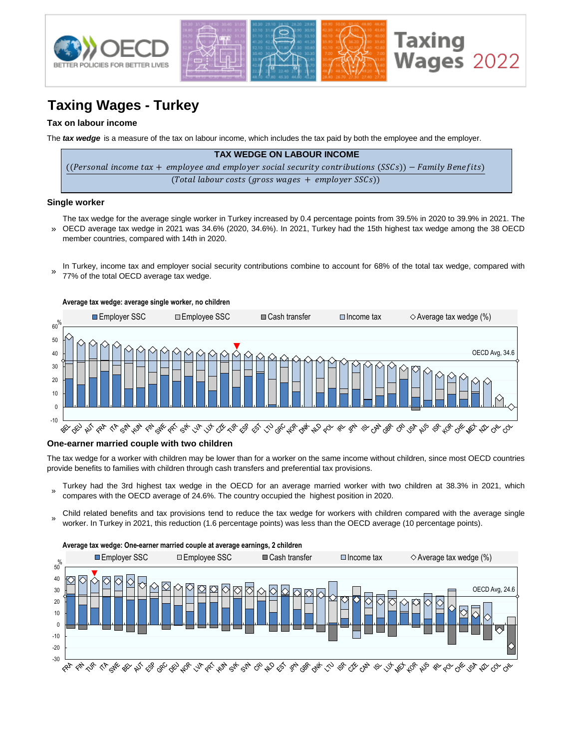

# **Taxing Wages - Turkey**

### **Tax on labour income**

The *tax wedge* is a measure of the tax on labour income, which includes the tax paid by both the employee and the employer.

| <b>TAX WEDGE ON LABOUR INCOME</b>                                                                      |
|--------------------------------------------------------------------------------------------------------|
| ((Personal income tax + employee and employer social security contributions (SSCs)) – Family Benefits) |
| $(Total$ labour costs (gross wages + employer SSCs))                                                   |

#### **Single worker**

- » The tax wedge for the average single worker in Turkey increased by 0.4 percentage points from 39.5% in 2020 to 39.9% in 2021. The OECD average tax wedge in 2021 was 34.6% (2020, 34.6%). In 2021, Turkey had the 15th highest tax wedge among the 38 OECD member countries, compared with 14th in 2020.
- In Turkey, income tax and employer social security contributions combine to account for 68% of the total tax wedge, compared with 77% of the total OECD average tax wedge. »



#### **One-earner married couple with two children**

The tax wedge for a worker with children may be lower than for a worker on the same income without children, since most OECD countries provide benefits to families with children through cash transfers and preferential tax provisions.

- » Turkey had the 3rd highest tax wedge in the OECD for an average married worker with two children at 38.3% in 2021, which compares with the OECD average of 24.6%. The country occupied the highest position in 2020.
- Child related benefits and tax provisions tend to reduce the tax wedge for workers with children compared with the average single worker. In Turkey in 2021, this reduction (1.6 percentage points) was less than the OECD average (10 percentage points).